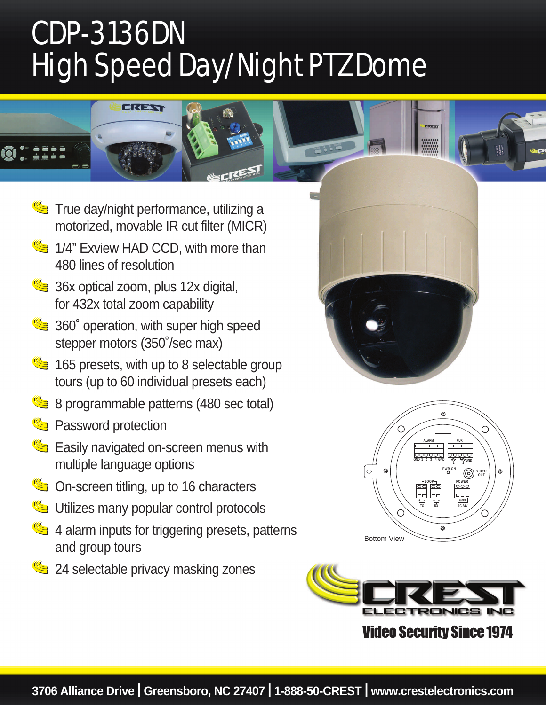## CDP-3136DN High Speed Day/Night PTZ Dome



**True day/night performance, utilizing a** motorized, movable IR cut filter (MICR) 1/4" Exview HAD CCD, with more than 480 lines of resolution  $\bullet$  36x optical zoom, plus 12x digital, for 432x total zoom capability **360° operation, with super high speed** stepper motors (350˚/sec max)  $\leq$  165 presets, with up to 8 selectable group tours (up to 60 individual presets each) 8 programmable patterns (480 sec total) Password protection Easily navigated on-screen menus with multiple language options On-screen titling, up to 16 characters Utilizes many popular control protocols 4 alarm inputs for triggering presets, patterns and group tours 24 selectable privacy masking zones







## **Video Security Since 1974**